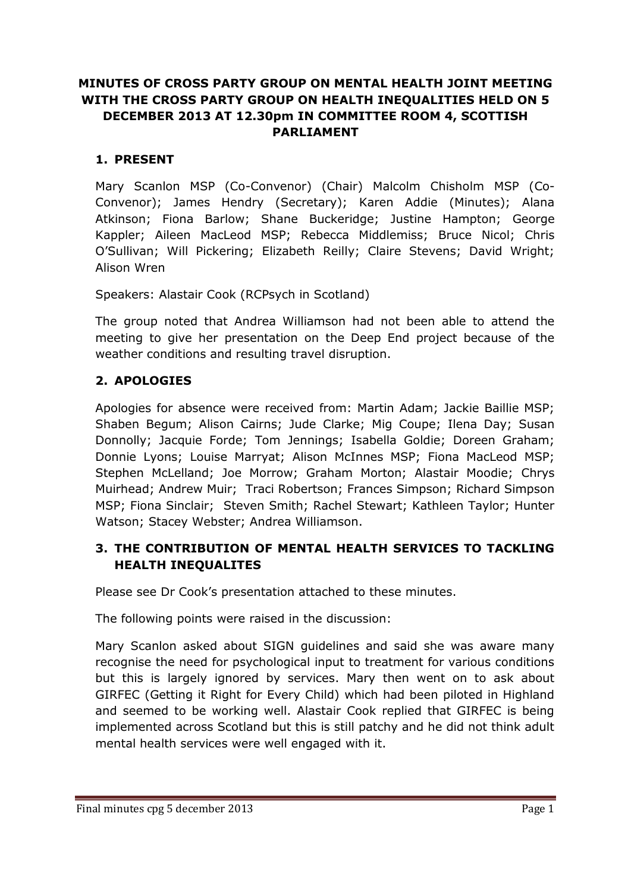# **MINUTES OF CROSS PARTY GROUP ON MENTAL HEALTH JOINT MEETING WITH THE CROSS PARTY GROUP ON HEALTH INEQUALITIES HELD ON 5 DECEMBER 2013 AT 12.30pm IN COMMITTEE ROOM 4, SCOTTISH PARLIAMENT**

## **1. PRESENT**

Mary Scanlon MSP (Co-Convenor) (Chair) Malcolm Chisholm MSP (Co-Convenor); James Hendry (Secretary); Karen Addie (Minutes); Alana Atkinson; Fiona Barlow; Shane Buckeridge; Justine Hampton; George Kappler; Aileen MacLeod MSP; Rebecca Middlemiss; Bruce Nicol; Chris O'Sullivan; Will Pickering; Elizabeth Reilly; Claire Stevens; David Wright; Alison Wren

Speakers: Alastair Cook (RCPsych in Scotland)

The group noted that Andrea Williamson had not been able to attend the meeting to give her presentation on the Deep End project because of the weather conditions and resulting travel disruption.

## **2. APOLOGIES**

Apologies for absence were received from: Martin Adam; Jackie Baillie MSP; Shaben Begum; Alison Cairns; Jude Clarke; Mig Coupe; Ilena Day; Susan Donnolly; Jacquie Forde; Tom Jennings; Isabella Goldie; Doreen Graham; Donnie Lyons; Louise Marryat; Alison McInnes MSP; Fiona MacLeod MSP; Stephen McLelland; Joe Morrow; Graham Morton; Alastair Moodie; Chrys Muirhead; Andrew Muir; Traci Robertson; Frances Simpson; Richard Simpson MSP; Fiona Sinclair; Steven Smith; Rachel Stewart; Kathleen Taylor; Hunter Watson; Stacey Webster; Andrea Williamson.

## **3. THE CONTRIBUTION OF MENTAL HEALTH SERVICES TO TACKLING HEALTH INEQUALITES**

Please see Dr Cook's presentation attached to these minutes.

The following points were raised in the discussion:

Mary Scanlon asked about SIGN guidelines and said she was aware many recognise the need for psychological input to treatment for various conditions but this is largely ignored by services. Mary then went on to ask about GIRFEC (Getting it Right for Every Child) which had been piloted in Highland and seemed to be working well. Alastair Cook replied that GIRFEC is being implemented across Scotland but this is still patchy and he did not think adult mental health services were well engaged with it.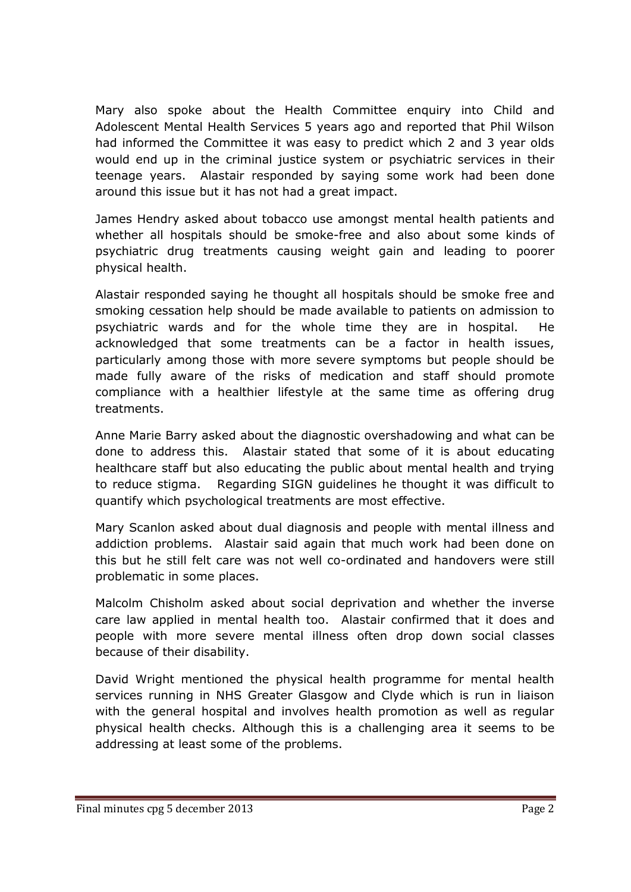Mary also spoke about the Health Committee enquiry into Child and Adolescent Mental Health Services 5 years ago and reported that Phil Wilson had informed the Committee it was easy to predict which 2 and 3 year olds would end up in the criminal justice system or psychiatric services in their teenage years. Alastair responded by saying some work had been done around this issue but it has not had a great impact.

James Hendry asked about tobacco use amongst mental health patients and whether all hospitals should be smoke-free and also about some kinds of psychiatric drug treatments causing weight gain and leading to poorer physical health.

Alastair responded saying he thought all hospitals should be smoke free and smoking cessation help should be made available to patients on admission to psychiatric wards and for the whole time they are in hospital. He acknowledged that some treatments can be a factor in health issues, particularly among those with more severe symptoms but people should be made fully aware of the risks of medication and staff should promote compliance with a healthier lifestyle at the same time as offering drug treatments.

Anne Marie Barry asked about the diagnostic overshadowing and what can be done to address this. Alastair stated that some of it is about educating healthcare staff but also educating the public about mental health and trying to reduce stigma. Regarding SIGN guidelines he thought it was difficult to quantify which psychological treatments are most effective.

Mary Scanlon asked about dual diagnosis and people with mental illness and addiction problems. Alastair said again that much work had been done on this but he still felt care was not well co-ordinated and handovers were still problematic in some places.

Malcolm Chisholm asked about social deprivation and whether the inverse care law applied in mental health too. Alastair confirmed that it does and people with more severe mental illness often drop down social classes because of their disability.

David Wright mentioned the physical health programme for mental health services running in NHS Greater Glasgow and Clyde which is run in liaison with the general hospital and involves health promotion as well as regular physical health checks. Although this is a challenging area it seems to be addressing at least some of the problems.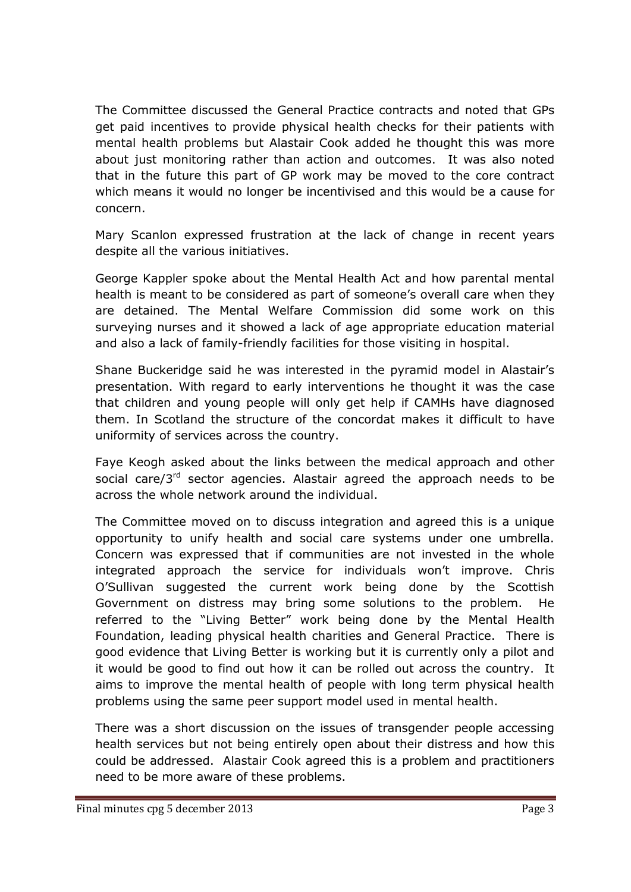The Committee discussed the General Practice contracts and noted that GPs get paid incentives to provide physical health checks for their patients with mental health problems but Alastair Cook added he thought this was more about just monitoring rather than action and outcomes. It was also noted that in the future this part of GP work may be moved to the core contract which means it would no longer be incentivised and this would be a cause for concern.

Mary Scanlon expressed frustration at the lack of change in recent years despite all the various initiatives.

George Kappler spoke about the Mental Health Act and how parental mental health is meant to be considered as part of someone's overall care when they are detained. The Mental Welfare Commission did some work on this surveying nurses and it showed a lack of age appropriate education material and also a lack of family-friendly facilities for those visiting in hospital.

Shane Buckeridge said he was interested in the pyramid model in Alastair's presentation. With regard to early interventions he thought it was the case that children and young people will only get help if CAMHs have diagnosed them. In Scotland the structure of the concordat makes it difficult to have uniformity of services across the country.

Faye Keogh asked about the links between the medical approach and other social care/3<sup>rd</sup> sector agencies. Alastair agreed the approach needs to be across the whole network around the individual.

The Committee moved on to discuss integration and agreed this is a unique opportunity to unify health and social care systems under one umbrella. Concern was expressed that if communities are not invested in the whole integrated approach the service for individuals won't improve. Chris O'Sullivan suggested the current work being done by the Scottish Government on distress may bring some solutions to the problem. He referred to the "Living Better" work being done by the Mental Health Foundation, leading physical health charities and General Practice. There is good evidence that Living Better is working but it is currently only a pilot and it would be good to find out how it can be rolled out across the country. It aims to improve the mental health of people with long term physical health problems using the same peer support model used in mental health.

There was a short discussion on the issues of transgender people accessing health services but not being entirely open about their distress and how this could be addressed. Alastair Cook agreed this is a problem and practitioners need to be more aware of these problems.